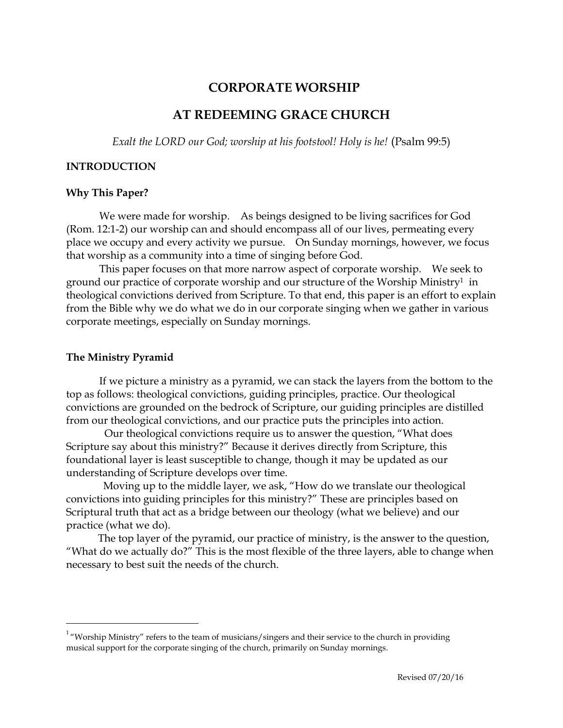# **CORPORATE WORSHIP**

# **AT REDEEMING GRACE CHURCH**

*Exalt the LORD our God; worship at his footstool! Holy is he!* (Psalm 99:5)

### **INTRODUCTION**

#### **Why This Paper?**

We were made for worship. As beings designed to be living sacrifices for God (Rom. 12:1-2) our worship can and should encompass all of our lives, permeating every place we occupy and every activity we pursue. On Sunday mornings, however, we focus that worship as a community into a time of singing before God.

This paper focuses on that more narrow aspect of corporate worship. We seek to ground our practice of corporate worship and our structure of the Worship Ministry<sup>1</sup> in theological convictions derived from Scripture. To that end, this paper is an effort to explain from the Bible why we do what we do in our corporate singing when we gather in various corporate meetings, especially on Sunday mornings.

#### **The Ministry Pyramid**

 $\overline{a}$ 

If we picture a ministry as a pyramid, we can stack the layers from the bottom to the top as follows: theological convictions, guiding principles, practice. Our theological convictions are grounded on the bedrock of Scripture, our guiding principles are distilled from our theological convictions, and our practice puts the principles into action.

 Our theological convictions require us to answer the question, "What does Scripture say about this ministry?" Because it derives directly from Scripture, this foundational layer is least susceptible to change, though it may be updated as our understanding of Scripture develops over time.

 Moving up to the middle layer, we ask, "How do we translate our theological convictions into guiding principles for this ministry?" These are principles based on Scriptural truth that act as a bridge between our theology (what we believe) and our practice (what we do).

 The top layer of the pyramid, our practice of ministry, is the answer to the question, "What do we actually do?" This is the most flexible of the three layers, able to change when necessary to best suit the needs of the church.

 $1$  "Worship Ministry" refers to the team of musicians/singers and their service to the church in providing musical support for the corporate singing of the church, primarily on Sunday mornings.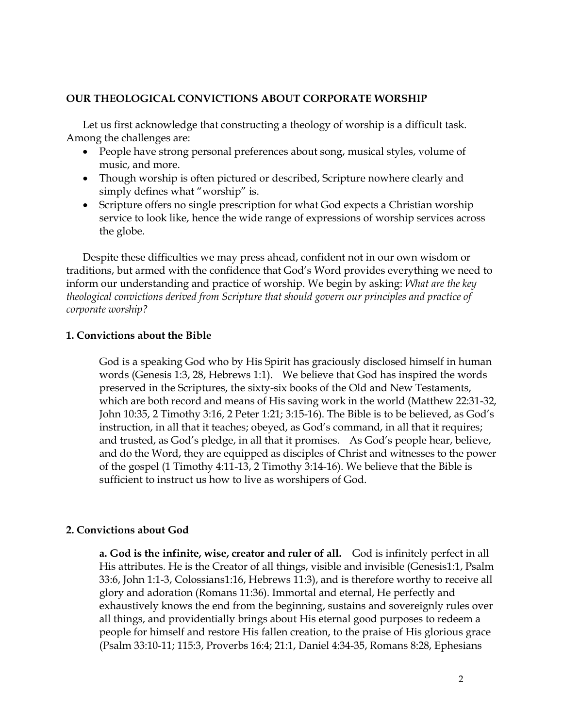## **OUR THEOLOGICAL CONVICTIONS ABOUT CORPORATE WORSHIP**

Let us first acknowledge that constructing a theology of worship is a difficult task. Among the challenges are:

- People have strong personal preferences about song, musical styles, volume of music, and more.
- Though worship is often pictured or described, Scripture nowhere clearly and simply defines what "worship" is.
- Scripture offers no single prescription for what God expects a Christian worship service to look like, hence the wide range of expressions of worship services across the globe.

Despite these difficulties we may press ahead, confident not in our own wisdom or traditions, but armed with the confidence that God's Word provides everything we need to inform our understanding and practice of worship. We begin by asking: *What are the key theological convictions derived from Scripture that should govern our principles and practice of corporate worship?*

#### **1. Convictions about the Bible**

God is a speaking God who by His Spirit has graciously disclosed himself in human words (Genesis 1:3, 28, Hebrews 1:1). We believe that God has inspired the words preserved in the Scriptures, the sixty-six books of the Old and New Testaments, which are both record and means of His saving work in the world (Matthew 22:31-32, John 10:35, 2 Timothy 3:16, 2 Peter 1:21; 3:15-16). The Bible is to be believed, as God's instruction, in all that it teaches; obeyed, as God's command, in all that it requires; and trusted, as God's pledge, in all that it promises. As God's people hear, believe, and do the Word, they are equipped as disciples of Christ and witnesses to the power of the gospel (1 Timothy 4:11-13, 2 Timothy 3:14-16). We believe that the Bible is sufficient to instruct us how to live as worshipers of God.

### **2. Convictions about God**

**a. God is the infinite, wise, creator and ruler of all.** God is infinitely perfect in all His attributes. He is the Creator of all things, visible and invisible (Genesis1:1, Psalm 33:6, John 1:1-3, Colossians1:16, Hebrews 11:3), and is therefore worthy to receive all glory and adoration (Romans 11:36). Immortal and eternal, He perfectly and exhaustively knows the end from the beginning, sustains and sovereignly rules over all things, and providentially brings about His eternal good purposes to redeem a people for himself and restore His fallen creation, to the praise of His glorious grace (Psalm 33:10-11; 115:3, Proverbs 16:4; 21:1, Daniel 4:34-35, Romans 8:28, Ephesians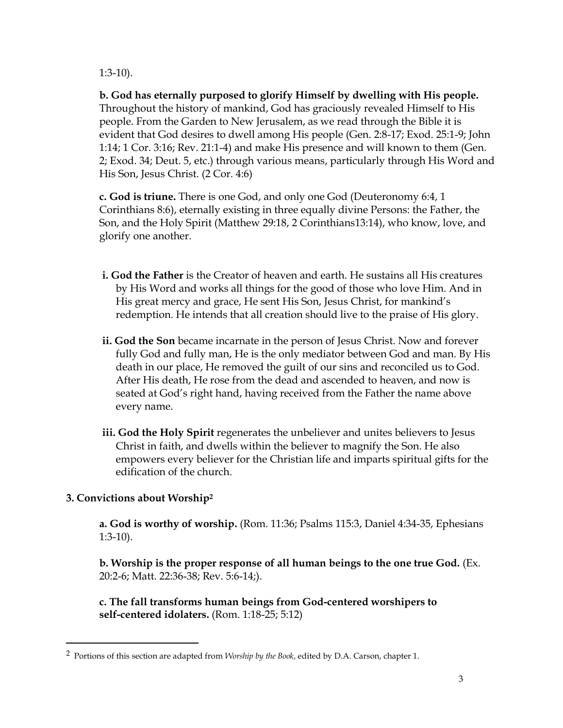1:3-10).

**b. God has eternally purposed to glorify Himself by dwelling with His people.**  Throughout the history of mankind, God has graciously revealed Himself to His people. From the Garden to New Jerusalem, as we read through the Bible it is evident that God desires to dwell among His people (Gen. 2:8-17; Exod. 25:1-9; John 1:14; 1 Cor. 3:16; Rev. 21:1-4) and make His presence and will known to them (Gen. 2; Exod. 34; Deut. 5, etc.) through various means, particularly through His Word and His Son, Jesus Christ. (2 Cor. 4:6)

**c. God is triune.** There is one God, and only one God (Deuteronomy 6:4, 1 Corinthians 8:6), eternally existing in three equally divine Persons: the Father, the Son, and the Holy Spirit (Matthew 29:18, 2 Corinthians13:14), who know, love, and glorify one another.

- **i. God the Father** is the Creator of heaven and earth. He sustains all His creatures by His Word and works all things for the good of those who love Him. And in His great mercy and grace, He sent His Son, Jesus Christ, for mankind's redemption. He intends that all creation should live to the praise of His glory.
- **ii. God the Son** became incarnate in the person of Jesus Christ. Now and forever fully God and fully man, He is the only mediator between God and man. By His death in our place, He removed the guilt of our sins and reconciled us to God. After His death, He rose from the dead and ascended to heaven, and now is seated at God's right hand, having received from the Father the name above every name.
- **iii. God the Holy Spirit** regenerates the unbeliever and unites believers to Jesus Christ in faith, and dwells within the believer to magnify the Son. He also empowers every believer for the Christian life and imparts spiritual gifts for the edification of the church.

# **3. Convictions about Worship<sup>2</sup>**

 $\overline{a}$ 

**a. God is worthy of worship.** (Rom. 11:36; Psalms 115:3, Daniel 4:34-35, Ephesians 1:3-10).

**b. Worship is the proper response of all human beings to the one true God.** (Ex. 20:2-6; Matt. 22:36-38; Rev. 5:6-14;).

**c. The fall transforms human beings from God-centered worshipers to self-centered idolaters.** (Rom. 1:18-25; 5:12)

<sup>2</sup> Portions of this section are adapted from *Worship by the Book*, edited by D.A. Carson, chapter 1.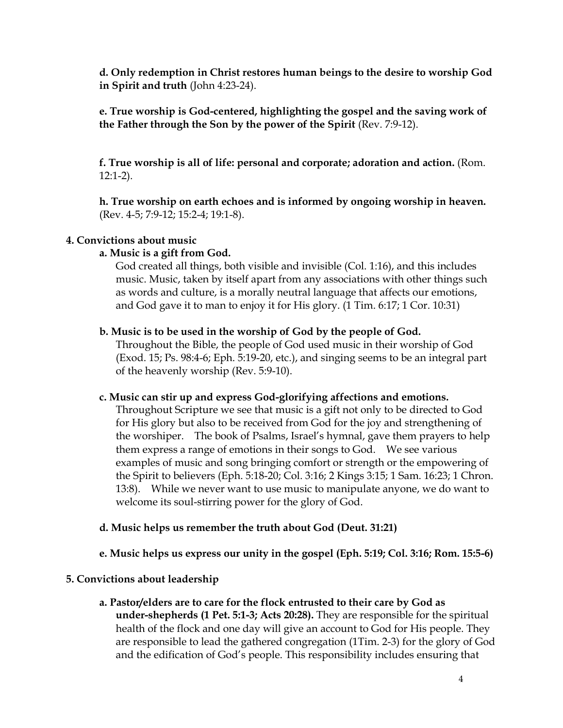**d. Only redemption in Christ restores human beings to the desire to worship God in Spirit and truth** (John 4:23-24).

**e. True worship is God-centered, highlighting the gospel and the saving work of the Father through the Son by the power of the Spirit** (Rev. 7:9-12).

**f. True worship is all of life: personal and corporate; adoration and action.** (Rom. 12:1-2).

**h. True worship on earth echoes and is informed by ongoing worship in heaven.**  (Rev. 4-5; 7:9-12; 15:2-4; 19:1-8).

## **4. Convictions about music**

## **a. Music is a gift from God.**

God created all things, both visible and invisible (Col. 1:16), and this includes music. Music, taken by itself apart from any associations with other things such as words and culture, is a morally neutral language that affects our emotions, and God gave it to man to enjoy it for His glory. (1 Tim. 6:17; 1 Cor. 10:31)

## **b. Music is to be used in the worship of God by the people of God.**

Throughout the Bible, the people of God used music in their worship of God (Exod. 15; Ps. 98:4-6; Eph. 5:19-20, etc.), and singing seems to be an integral part of the heavenly worship (Rev. 5:9-10).

### **c. Music can stir up and express God-glorifying affections and emotions.**

Throughout Scripture we see that music is a gift not only to be directed to God for His glory but also to be received from God for the joy and strengthening of the worshiper. The book of Psalms, Israel's hymnal, gave them prayers to help them express a range of emotions in their songs to God. We see various examples of music and song bringing comfort or strength or the empowering of the Spirit to believers (Eph. 5:18-20; Col. 3:16; 2 Kings 3:15; 1 Sam. 16:23; 1 Chron. 13:8). While we never want to use music to manipulate anyone, we do want to welcome its soul-stirring power for the glory of God.

# **d. Music helps us remember the truth about God (Deut. 31:21)**

# **e. Music helps us express our unity in the gospel (Eph. 5:19; Col. 3:16; Rom. 15:5-6)**

# **5. Convictions about leadership**

**a. Pastor/elders are to care for the flock entrusted to their care by God as under-shepherds (1 Pet. 5:1-3; Acts 20:28).** They are responsible for the spiritual health of the flock and one day will give an account to God for His people. They are responsible to lead the gathered congregation (1Tim. 2-3) for the glory of God and the edification of God's people. This responsibility includes ensuring that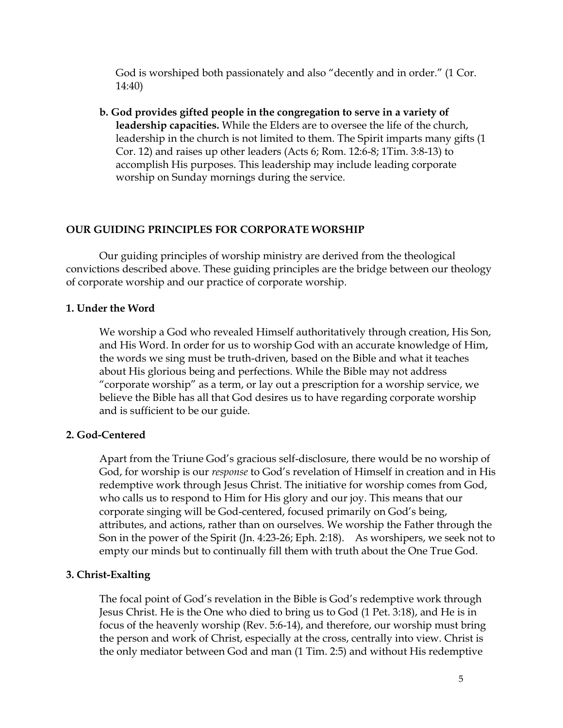God is worshiped both passionately and also "decently and in order." (1 Cor. 14:40)

**b. God provides gifted people in the congregation to serve in a variety of leadership capacities.** While the Elders are to oversee the life of the church, leadership in the church is not limited to them. The Spirit imparts many gifts (1 Cor. 12) and raises up other leaders (Acts 6; Rom. 12:6-8; 1Tim. 3:8-13) to accomplish His purposes. This leadership may include leading corporate worship on Sunday mornings during the service.

# **OUR GUIDING PRINCIPLES FOR CORPORATE WORSHIP**

Our guiding principles of worship ministry are derived from the theological convictions described above. These guiding principles are the bridge between our theology of corporate worship and our practice of corporate worship.

# **1. Under the Word**

We worship a God who revealed Himself authoritatively through creation, His Son, and His Word. In order for us to worship God with an accurate knowledge of Him, the words we sing must be truth-driven, based on the Bible and what it teaches about His glorious being and perfections. While the Bible may not address "corporate worship" as a term, or lay out a prescription for a worship service, we believe the Bible has all that God desires us to have regarding corporate worship and is sufficient to be our guide.

# **2. God-Centered**

Apart from the Triune God's gracious self-disclosure, there would be no worship of God, for worship is our *response* to God's revelation of Himself in creation and in His redemptive work through Jesus Christ. The initiative for worship comes from God, who calls us to respond to Him for His glory and our joy. This means that our corporate singing will be God-centered, focused primarily on God's being, attributes, and actions, rather than on ourselves. We worship the Father through the Son in the power of the Spirit (Jn. 4:23-26; Eph. 2:18). As worshipers, we seek not to empty our minds but to continually fill them with truth about the One True God.

# **3. Christ-Exalting**

The focal point of God's revelation in the Bible is God's redemptive work through Jesus Christ. He is the One who died to bring us to God (1 Pet. 3:18), and He is in focus of the heavenly worship (Rev. 5:6-14), and therefore, our worship must bring the person and work of Christ, especially at the cross, centrally into view. Christ is the only mediator between God and man (1 Tim. 2:5) and without His redemptive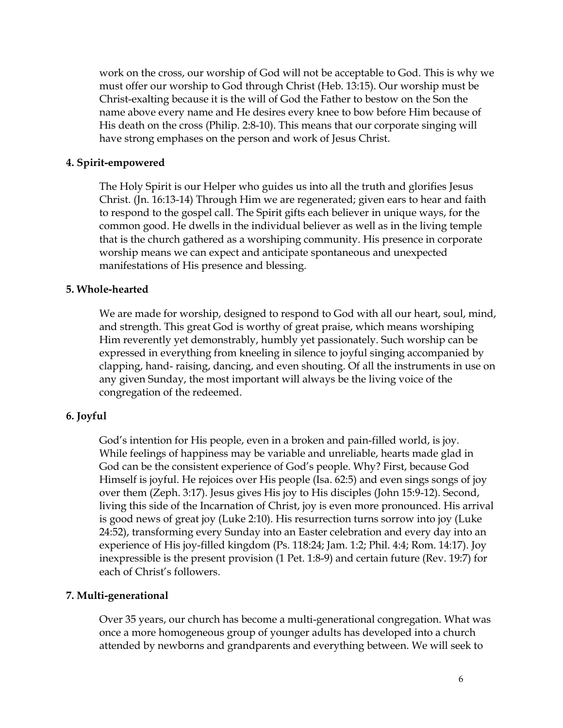work on the cross, our worship of God will not be acceptable to God. This is why we must offer our worship to God through Christ (Heb. 13:15). Our worship must be Christ-exalting because it is the will of God the Father to bestow on the Son the name above every name and He desires every knee to bow before Him because of His death on the cross (Philip. 2:8-10). This means that our corporate singing will have strong emphases on the person and work of Jesus Christ.

## **4. Spirit-empowered**

The Holy Spirit is our Helper who guides us into all the truth and glorifies Jesus Christ. (Jn. 16:13-14) Through Him we are regenerated; given ears to hear and faith to respond to the gospel call. The Spirit gifts each believer in unique ways, for the common good. He dwells in the individual believer as well as in the living temple that is the church gathered as a worshiping community. His presence in corporate worship means we can expect and anticipate spontaneous and unexpected manifestations of His presence and blessing.

### **5. Whole-hearted**

We are made for worship, designed to respond to God with all our heart, soul, mind, and strength. This great God is worthy of great praise, which means worshiping Him reverently yet demonstrably, humbly yet passionately. Such worship can be expressed in everything from kneeling in silence to joyful singing accompanied by clapping, hand- raising, dancing, and even shouting. Of all the instruments in use on any given Sunday, the most important will always be the living voice of the congregation of the redeemed.

### **6. Joyful**

God's intention for His people, even in a broken and pain-filled world, is joy. While feelings of happiness may be variable and unreliable, hearts made glad in God can be the consistent experience of God's people. Why? First, because God Himself is joyful. He rejoices over His people (Isa. 62:5) and even sings songs of joy over them (Zeph. 3:17). Jesus gives His joy to His disciples (John 15:9-12). Second, living this side of the Incarnation of Christ, joy is even more pronounced. His arrival is good news of great joy (Luke 2:10). His resurrection turns sorrow into joy (Luke 24:52), transforming every Sunday into an Easter celebration and every day into an experience of His joy-filled kingdom (Ps. 118:24; Jam. 1:2; Phil. 4:4; Rom. 14:17). Joy inexpressible is the present provision (1 Pet. 1:8-9) and certain future (Rev. 19:7) for each of Christ's followers.

### **7. Multi-generational**

Over 35 years, our church has become a multi-generational congregation. What was once a more homogeneous group of younger adults has developed into a church attended by newborns and grandparents and everything between. We will seek to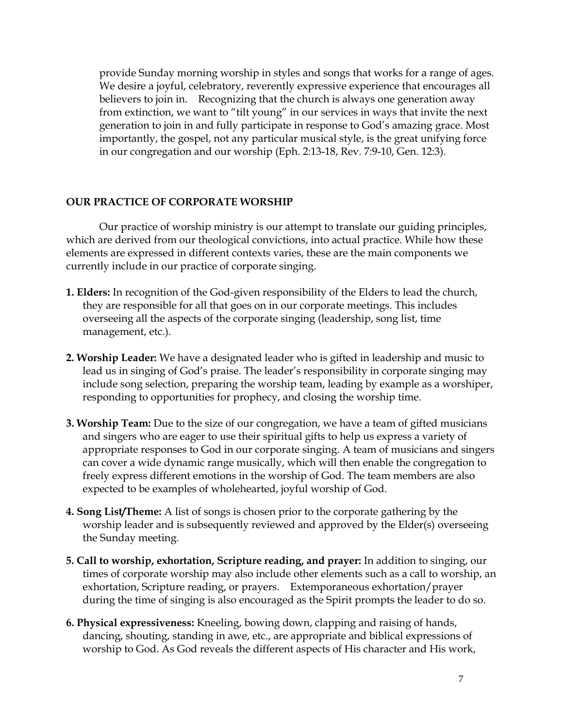provide Sunday morning worship in styles and songs that works for a range of ages. We desire a joyful, celebratory, reverently expressive experience that encourages all believers to join in. Recognizing that the church is always one generation away from extinction, we want to "tilt young" in our services in ways that invite the next generation to join in and fully participate in response to God's amazing grace. Most importantly, the gospel, not any particular musical style, is the great unifying force in our congregation and our worship (Eph. 2:13-18, Rev. 7:9-10, Gen. 12:3).

### **OUR PRACTICE OF CORPORATE WORSHIP**

Our practice of worship ministry is our attempt to translate our guiding principles, which are derived from our theological convictions, into actual practice. While how these elements are expressed in different contexts varies, these are the main components we currently include in our practice of corporate singing.

- **1. Elders:** In recognition of the God-given responsibility of the Elders to lead the church, they are responsible for all that goes on in our corporate meetings. This includes overseeing all the aspects of the corporate singing (leadership, song list, time management, etc.).
- **2. Worship Leader:** We have a designated leader who is gifted in leadership and music to lead us in singing of God's praise. The leader's responsibility in corporate singing may include song selection, preparing the worship team, leading by example as a worshiper, responding to opportunities for prophecy, and closing the worship time.
- **3. Worship Team:** Due to the size of our congregation, we have a team of gifted musicians and singers who are eager to use their spiritual gifts to help us express a variety of appropriate responses to God in our corporate singing. A team of musicians and singers can cover a wide dynamic range musically, which will then enable the congregation to freely express different emotions in the worship of God. The team members are also expected to be examples of wholehearted, joyful worship of God.
- **4. Song List/Theme:** A list of songs is chosen prior to the corporate gathering by the worship leader and is subsequently reviewed and approved by the Elder(s) overseeing the Sunday meeting.
- **5. Call to worship, exhortation, Scripture reading, and prayer:** In addition to singing, our times of corporate worship may also include other elements such as a call to worship, an exhortation, Scripture reading, or prayers. Extemporaneous exhortation/prayer during the time of singing is also encouraged as the Spirit prompts the leader to do so.
- **6. Physical expressiveness:** Kneeling, bowing down, clapping and raising of hands, dancing, shouting, standing in awe, etc., are appropriate and biblical expressions of worship to God. As God reveals the different aspects of His character and His work,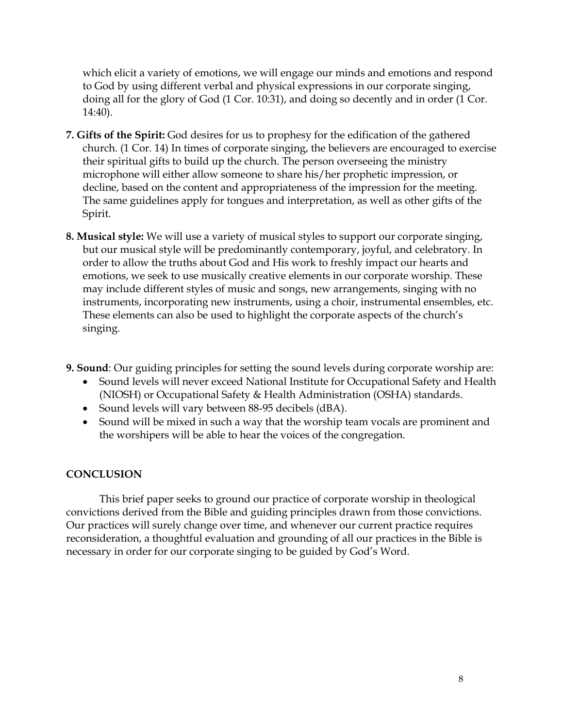which elicit a variety of emotions, we will engage our minds and emotions and respond to God by using different verbal and physical expressions in our corporate singing, doing all for the glory of God (1 Cor. 10:31), and doing so decently and in order (1 Cor. 14:40).

- **7. Gifts of the Spirit:** God desires for us to prophesy for the edification of the gathered church. (1 Cor. 14) In times of corporate singing, the believers are encouraged to exercise their spiritual gifts to build up the church. The person overseeing the ministry microphone will either allow someone to share his/her prophetic impression, or decline, based on the content and appropriateness of the impression for the meeting. The same guidelines apply for tongues and interpretation, as well as other gifts of the Spirit.
- **8. Musical style:** We will use a variety of musical styles to support our corporate singing, but our musical style will be predominantly contemporary, joyful, and celebratory. In order to allow the truths about God and His work to freshly impact our hearts and emotions, we seek to use musically creative elements in our corporate worship. These may include different styles of music and songs, new arrangements, singing with no instruments, incorporating new instruments, using a choir, instrumental ensembles, etc. These elements can also be used to highlight the corporate aspects of the church's singing.
- **9. Sound**: Our guiding principles for setting the sound levels during corporate worship are:
	- Sound levels will never exceed National Institute for Occupational Safety and Health (NIOSH) or Occupational Safety & Health Administration (OSHA) standards.
	- Sound levels will vary between 88-95 decibels (dBA).
	- Sound will be mixed in such a way that the worship team vocals are prominent and the worshipers will be able to hear the voices of the congregation.

# **CONCLUSION**

This brief paper seeks to ground our practice of corporate worship in theological convictions derived from the Bible and guiding principles drawn from those convictions. Our practices will surely change over time, and whenever our current practice requires reconsideration, a thoughtful evaluation and grounding of all our practices in the Bible is necessary in order for our corporate singing to be guided by God's Word.